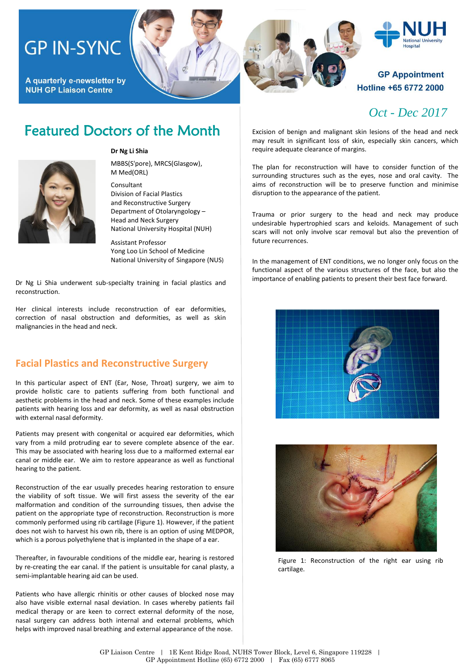# **GP IN-SYNC**

A quarterly e-newsletter by **NUH GP Liaison Centre** 





#### **Dr Ng Li Shia**

MBBS(S'pore), MRCS(Glasgow), M Med(ORL)

Consultant Division of Facial Plastics and Reconstructive Surgery Department of Otolaryngology – Head and Neck Surgery National University Hospital (NUH)

Assistant Professor Yong Loo Lin School of Medicine National University of Singapore (NUS)

Dr Ng Li Shia underwent sub-specialty training in facial plastics and reconstruction.

Her clinical interests include reconstruction of ear deformities, correction of nasal obstruction and deformities, as well as skin malignancies in the head and neck.

#### **Facial Plastics and Reconstructive Surgery**

In this particular aspect of ENT (Ear, Nose, Throat) surgery, we aim to provide holistic care to patients suffering from both functional and aesthetic problems in the head and neck. Some of these examples include patients with hearing loss and ear deformity, as well as nasal obstruction with external nasal deformity.

Patients may present with congenital or acquired ear deformities, which vary from a mild protruding ear to severe complete absence of the ear. This may be associated with hearing loss due to a malformed external ear canal or middle ear. We aim to restore appearance as well as functional hearing to the patient.

Reconstruction of the ear usually precedes hearing restoration to ensure the viability of soft tissue. We will first assess the severity of the ear malformation and condition of the surrounding tissues, then advise the patient on the appropriate type of reconstruction. Reconstruction is more commonly performed using rib cartilage (Figure 1). However, if the patient does not wish to harvest his own rib, there is an option of using MEDPOR, which is a porous polyethylene that is implanted in the shape of a ear.

Thereafter, in favourable conditions of the middle ear, hearing is restored by re-creating the ear canal. If the patient is unsuitable for canal plasty, a semi-implantable hearing aid can be used.

Patients who have allergic rhinitis or other causes of blocked nose may also have visible external nasal deviation. In cases whereby patients fail medical therapy or are keen to correct external deformity of the nose, nasal surgery can address both internal and external problems, which helps with improved nasal breathing and external appearance of the nose.





### **GP Appointment** Hotline +65 6772 2000

### *Oct - Dec 2017*

Excision of benign and malignant skin lesions of the head and neck may result in significant loss of skin, especially skin cancers, which require adequate clearance of margins.

The plan for reconstruction will have to consider function of the surrounding structures such as the eyes, nose and oral cavity. The aims of reconstruction will be to preserve function and minimise disruption to the appearance of the patient.

Trauma or prior surgery to the head and neck may produce undesirable hypertrophied scars and keloids. Management of such scars will not only involve scar removal but also the prevention of future recurrences.

In the management of ENT conditions, we no longer only focus on the functional aspect of the various structures of the face, but also the importance of enabling patients to present their best face forward.





Figure 1: Reconstruction of the right ear using rib cartilage.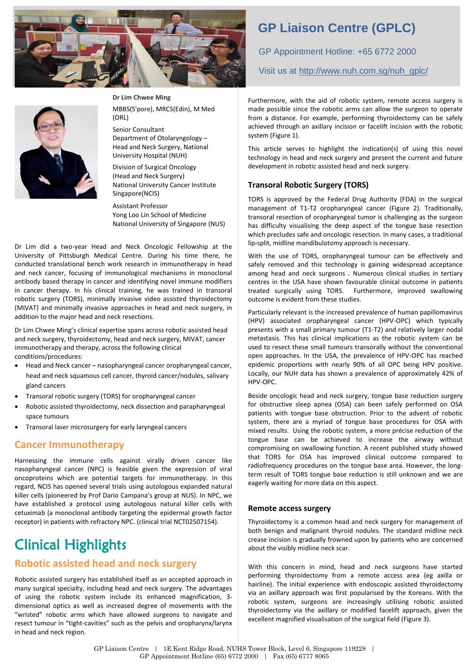



**Dr Lim Chwee Ming**

MBBS(S'pore), MRCS(Edin), M Med (ORL)

Senior Consultant Department of Otolaryngology – Head and Neck Surgery, National University Hospital (NUH)

Division of Surgical Oncology (Head and Neck Surgery) National University Cancer Institute Singapore(NCIS)

Assistant Professor Yong Loo Lin School of Medicine National University of Singapore (NUS)

Dr Lim did a two-year Head and Neck Oncologic Fellowship at the University of Pittsburgh Medical Centre. During his time there, he conducted translational bench work research in immunotherapy in head and neck cancer, focusing of immunological mechanisms in monoclonal antibody based therapy in cancer and identifying novel immune modifiers in cancer therapy. In his clinical training, he was trained in transoral robotic surgery (TORS), minimally invasive video assisted thyroidectomy (MIVAT) and minimally invasive approaches in head and neck surgery, in addition to the major head and neck resections.

Dr Lim Chwee Ming's clinical expertise spans across robotic assisted head and neck surgery, thyroidectomy, head and neck surgery, MIVAT, cancer immunotherapy and therapy, across the following clinical conditions/procedures:

- Head and Neck cancer nasopharyngeal cancer oropharyngeal cancer, head and neck squamous cell cancer, thyroid cancer/nodules, salivary gland cancers
- Transoral robotic surgery (TORS) for oropharyngeal cancer
- Robotic assisted thyroidectomy, neck dissection and parapharyngeal space tumours
- Transoral laser microsurgery for early laryngeal cancers

#### **Cancer Immunotherapy**

Harnessing the immune cells against virally driven cancer like nasopharyngeal cancer (NPC) is feasible given the expression of viral oncoproteins which are potential targets for immunotherapy. In this regard, NCIS has opened several trials using autologous expanded natural killer cells (pioneered by Prof Dario Campana's group at NUS). In NPC, we have established a protocol using autologous natural killer cells with cetuximab (a monoclonal antibody targeting the epidermal growth factor receptor) in patients with refractory NPC. (clinical trial NCT02507154).

# Clinical Highlights

### **Robotic assisted head and neck surgery**

Robotic assisted surgery has established itself as an accepted approach in many surgical specialty, including head and neck surgery. The advantages of using the robotic system include its enhanced magnification, 3 dimensional optics as well as increased degree of movements with the "wristed" robotic arms which have allowed surgeons to navigate and resect tumour in "tight-cavities" such as the pelvis and oropharynx/larynx in head and neck region.

# **GP Liaison Centre (GPLC)**

GP Appointment Hotline: +65 6772 2000

Visit us at [http://www.nuh.com.sg/nuh\\_gplc/](http://www.nuh.com.sg/nuh_gplc/)

Furthermore, with the aid of robotic system, remote access surgery is made possible since the robotic arms can allow the surgeon to operate from a distance. For example, performing thyroidectomy can be safely achieved through an axillary incision or facelift incision with the robotic system (Figure 1).

This article serves to highlight the indication(s) of using this novel technology in head and neck surgery and present the current and future development in robotic assisted head and neck surgery.

#### **Transoral Robotic Surgery (TORS)**

TORS is approved by the Federal Drug Authority (FDA) in the surgical management of T1-T2 oropharyngeal cancer (Figure 2). Traditionally, transoral resection of oropharyngeal tumor is challenging as the surgeon has difficulty visualising the deep aspect of the tongue base resection which precludes safe and oncologic resection. In many cases, a traditional lip-split, midline mandibulotomy approach is necessary.

With the use of TORS, oropharyngeal tumour can be effectively and safely removed and this technology is gaining widespread acceptance among head and neck surgeons . Numerous clinical studies in tertiary centres in the USA have shown favourable clinical outcome in patients<br>treated surgically using TORS. Furthermore, improved swallowing Furthermore, improved swallowing outcome is evident from these studies.

Particularly relevant is the increased prevalence of human papillomavirus (HPV) associated oropharyngeal cancer (HPV-OPC) which typically presents with a small primary tumour (T1-T2) and relatively larger nodal metastasis. This has clinical implications as the robotic system can be used to resect these small tumours transorally without the conventional open approaches. In the USA, the prevalence of HPV-OPC has reached epidemic proportions with nearly 90% of all OPC being HPV positive. Locally, our NUH data has shown a prevalence of approximately 42% of HPV-OPC.

Beside oncologic head and neck surgery, tongue base reduction surgery for obstructive sleep apnea (OSA) can been safely performed on OSA patients with tongue base obstruction. Prior to the advent of robotic system, there are a myriad of tongue base procedures for OSA with mixed results. Using the robotic system, a more précise reduction of the tongue base can be achieved to increase the airway without compromising on swallowing function. A recent published study showed that TORS for OSA has improved clinical outcome compared to radiofrequency procedures on the tongue base area. However, the longterm result of TORS tongue base reduction is still unknown and we are eagerly waiting for more data on this aspect.

#### **Remote access surgery**

Thyroidectomy is a common head and neck surgery for management of both benign and malignant thyroid nodules. The standard midline neck crease incision is gradually frowned upon by patients who are concerned about the visibly midline neck scar.

With this concern in mind, head and neck surgeons have started performing thyroidectomy from a remote access area (eg axilla or hairline). The initial experience with endoscopic assisted thyroidectomy via an axillary approach was first popularised by the Koreans. With the robotic system, surgeons are increasingly utilising robotic assisted thyroidectomy via the axillary or modified facelift approach, given the excellent magnified visualisation of the surgical field (Figure 3).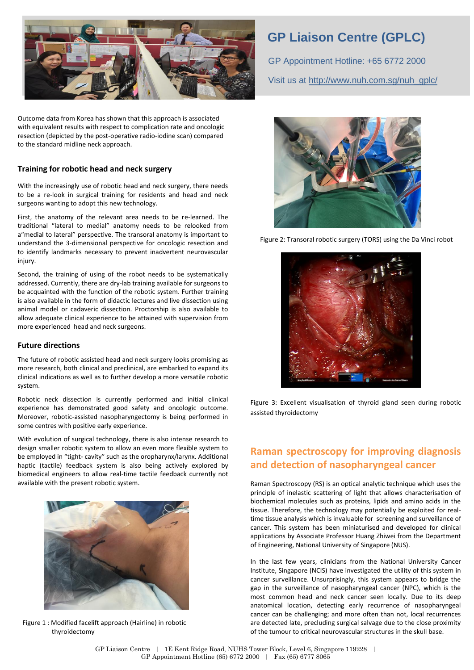

Outcome data from Korea has shown that this approach is associated with equivalent results with respect to complication rate and oncologic resection (depicted by the post-operative radio-iodine scan) compared to the standard midline neck approach.

#### **Training for robotic head and neck surgery**

With the increasingly use of robotic head and neck surgery, there needs to be a re-look in surgical training for residents and head and neck surgeons wanting to adopt this new technology.

First, the anatomy of the relevant area needs to be re-learned. The traditional "lateral to medial" anatomy needs to be relooked from a"medial to lateral" perspective. The transoral anatomy is important to understand the 3-dimensional perspective for oncologic resection and to identify landmarks necessary to prevent inadvertent neurovascular injury.

Second, the training of using of the robot needs to be systematically addressed. Currently, there are dry-lab training available for surgeons to be acquainted with the function of the robotic system. Further training is also available in the form of didactic lectures and live dissection using animal model or cadaveric dissection. Proctorship is also available to allow adequate clinical experience to be attained with supervision from more experienced head and neck surgeons.

#### **Future directions**

The future of robotic assisted head and neck surgery looks promising as more research, both clinical and preclinical, are embarked to expand its clinical indications as well as to further develop a more versatile robotic system.

Robotic neck dissection is currently performed and initial clinical experience has demonstrated good safety and oncologic outcome. Moreover, robotic-assisted nasopharyngectomy is being performed in some centres with positive early experience.

With evolution of surgical technology, there is also intense research to design smaller robotic system to allow an even more flexible system to be employed in "tight- cavity" such as the oropharynx/larynx. Additional haptic (tactile) feedback system is also being actively explored by biomedical engineers to allow real-time tactile feedback currently not available with the present robotic system.



 Figure 1 : Modified facelift approach (Hairline) in robotic thyroidectomy

### **GP Liaison Centre (GPLC)**

GP Appointment Hotline: +65 6772 2000 Visit us at [http://www.nuh.com.sg/nuh\\_gplc/](http://www.nuh.com.sg/nuh_gplc/)



Figure 2: Transoral robotic surgery (TORS) using the Da Vinci robot



Figure 3: Excellent visualisation of thyroid gland seen during robotic assisted thyroidectomy

### **Raman spectroscopy for improving diagnosis and detection of nasopharyngeal cancer**

Raman Spectroscopy (RS) is an optical analytic technique which uses the principle of inelastic scattering of light that allows characterisation of biochemical molecules such as proteins, lipids and amino acids in the tissue. Therefore, the technology may potentially be exploited for realtime tissue analysis which is invaluable for screening and surveillance of cancer. This system has been miniaturised and developed for clinical applications by Associate Professor Huang Zhiwei from the Department of Engineering, National University of Singapore (NUS).

In the last few years, clinicians from the National University Cancer Institute, Singapore (NCIS) have investigated the utility of this system in cancer surveillance. Unsurprisingly, this system appears to bridge the gap in the surveillance of nasopharyngeal cancer (NPC), which is the most common head and neck cancer seen locally. Due to its deep anatomical location, detecting early recurrence of nasopharyngeal cancer can be challenging; and more often than not, local recurrences are detected late, precluding surgical salvage due to the close proximity of the tumour to critical neurovascular structures in the skull base.